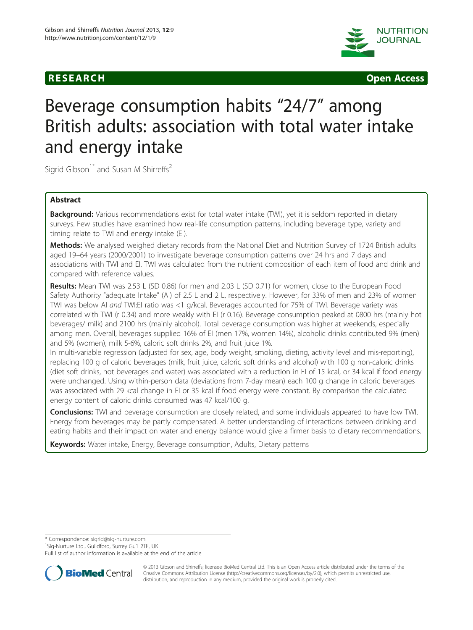



# Beverage consumption habits "24/7" among British adults: association with total water intake and energy intake

Sigrid Gibson<sup>1\*</sup> and Susan M Shirreffs<sup>2</sup>

# Abstract

Background: Various recommendations exist for total water intake (TWI), yet it is seldom reported in dietary surveys. Few studies have examined how real-life consumption patterns, including beverage type, variety and timing relate to TWI and energy intake (EI).

Methods: We analysed weighed dietary records from the National Diet and Nutrition Survey of 1724 British adults aged 19–64 years (2000/2001) to investigate beverage consumption patterns over 24 hrs and 7 days and associations with TWI and EI. TWI was calculated from the nutrient composition of each item of food and drink and compared with reference values.

Results: Mean TWI was 2.53 L (SD 0.86) for men and 2.03 L (SD 0.71) for women, close to the European Food Safety Authority "adequate Intake" (AI) of 2.5 L and 2 L, respectively. However, for 33% of men and 23% of women TWI was below AI and TWI:EI ratio was <1 g/kcal. Beverages accounted for 75% of TWI. Beverage variety was correlated with TWI (r 0.34) and more weakly with EI (r 0.16). Beverage consumption peaked at 0800 hrs (mainly hot beverages/ milk) and 2100 hrs (mainly alcohol). Total beverage consumption was higher at weekends, especially among men. Overall, beverages supplied 16% of EI (men 17%, women 14%), alcoholic drinks contributed 9% (men) and 5% (women), milk 5-6%, caloric soft drinks 2%, and fruit juice 1%.

In multi-variable regression (adjusted for sex, age, body weight, smoking, dieting, activity level and mis-reporting), replacing 100 g of caloric beverages (milk, fruit juice, caloric soft drinks and alcohol) with 100 g non-caloric drinks (diet soft drinks, hot beverages and water) was associated with a reduction in EI of 15 kcal, or 34 kcal if food energy were unchanged. Using within-person data (deviations from 7-day mean) each 100 g change in caloric beverages was associated with 29 kcal change in EI or 35 kcal if food energy were constant. By comparison the calculated energy content of caloric drinks consumed was 47 kcal/100 g.

**Conclusions:** TWI and beverage consumption are closely related, and some individuals appeared to have low TWI. Energy from beverages may be partly compensated. A better understanding of interactions between drinking and eating habits and their impact on water and energy balance would give a firmer basis to dietary recommendations.

Keywords: Water intake, Energy, Beverage consumption, Adults, Dietary patterns

\* Correspondence: [sigrid@sig-nurture.com](mailto:sigrid@sig-nurture.com) <sup>1</sup>

<sup>1</sup>Sig-Nurture Ltd., Guildford, Surrey Gu1 2TF, UK

Full list of author information is available at the end of the article



© 2013 Gibson and Shirreffs; licensee BioMed Central Ltd. This is an Open Access article distributed under the terms of the Creative Commons Attribution License (<http://creativecommons.org/licenses/by/2.0>), which permits unrestricted use, distribution, and reproduction in any medium, provided the original work is properly cited.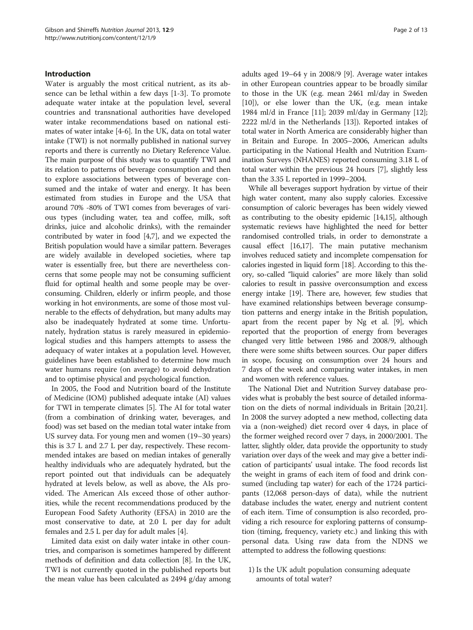## Introduction

Water is arguably the most critical nutrient, as its absence can be lethal within a few days [\[1](#page-12-0)-[3\]](#page-12-0). To promote adequate water intake at the population level, several countries and transnational authorities have developed water intake recommendations based on national estimates of water intake [[4](#page-12-0)-[6\]](#page-12-0). In the UK, data on total water intake (TWI) is not normally published in national survey reports and there is currently no Dietary Reference Value. The main purpose of this study was to quantify TWI and its relation to patterns of beverage consumption and then to explore associations between types of beverage consumed and the intake of water and energy. It has been estimated from studies in Europe and the USA that around 70% -80% of TWI comes from beverages of various types (including water, tea and coffee, milk, soft drinks, juice and alcoholic drinks), with the remainder contributed by water in food [[4](#page-12-0),[7](#page-12-0)], and we expected the British population would have a similar pattern. Beverages are widely available in developed societies, where tap water is essentially free, but there are nevertheless concerns that some people may not be consuming sufficient fluid for optimal health and some people may be overconsuming. Children, elderly or infirm people, and those working in hot environments, are some of those most vulnerable to the effects of dehydration, but many adults may also be inadequately hydrated at some time. Unfortunately, hydration status is rarely measured in epidemiological studies and this hampers attempts to assess the adequacy of water intakes at a population level. However, guidelines have been established to determine how much water humans require (on average) to avoid dehydration and to optimise physical and psychological function.

In 2005, the Food and Nutrition board of the Institute of Medicine (IOM) published adequate intake (AI) values for TWI in temperate climates [\[5](#page-12-0)]. The AI for total water (from a combination of drinking water, beverages, and food) was set based on the median total water intake from US survey data. For young men and women (19–30 years) this is 3.7 L and 2.7 L per day, respectively. These recommended intakes are based on median intakes of generally healthy individuals who are adequately hydrated, but the report pointed out that individuals can be adequately hydrated at levels below, as well as above, the AIs provided. The American AIs exceed those of other authorities, while the recent recommendations produced by the European Food Safety Authority (EFSA) in 2010 are the most conservative to date, at 2.0 L per day for adult females and 2.5 L per day for adult males [[4](#page-12-0)].

Limited data exist on daily water intake in other countries, and comparison is sometimes hampered by different methods of definition and data collection [[8\]](#page-12-0). In the UK, TWI is not currently quoted in the published reports but the mean value has been calculated as 2494 g/day among

adults aged 19–64 y in 2008/9 [\[9\]](#page-12-0). Average water intakes in other European countries appear to be broadly similar to those in the UK (e.g. mean 2461 ml/day in Sweden [[10](#page-12-0)]), or else lower than the UK, (e.g. mean intake 1984 ml/d in France [[11](#page-12-0)]; 2039 ml/day in Germany [[12](#page-12-0)]; 2222 ml/d in the Netherlands [\[13\]](#page-12-0)). Reported intakes of total water in North America are considerably higher than in Britain and Europe. In 2005–2006, American adults participating in the National Health and Nutrition Examination Surveys (NHANES) reported consuming 3.18 L of total water within the previous 24 hours [\[7](#page-12-0)], slightly less than the 3.35 L reported in 1999–2004.

While all beverages support hydration by virtue of their high water content, many also supply calories. Excessive consumption of caloric beverages has been widely viewed as contributing to the obesity epidemic [\[14,15](#page-12-0)], although systematic reviews have highlighted the need for better randomised controlled trials, in order to demonstrate a causal effect [[16,17\]](#page-12-0). The main putative mechanism involves reduced satiety and incomplete compensation for calories ingested in liquid form [\[18](#page-12-0)]. According to this theory, so-called "liquid calories" are more likely than solid calories to result in passive overconsumption and excess energy intake [\[19\]](#page-12-0). There are, however, few studies that have examined relationships between beverage consumption patterns and energy intake in the British population, apart from the recent paper by Ng et al. [[9\]](#page-12-0), which reported that the proportion of energy from beverages changed very little between 1986 and 2008/9, although there were some shifts between sources. Our paper differs in scope, focusing on consumption over 24 hours and 7 days of the week and comparing water intakes, in men and women with reference values.

The National Diet and Nutrition Survey database provides what is probably the best source of detailed information on the diets of normal individuals in Britain [\[20,21](#page-12-0)]. In 2008 the survey adopted a new method, collecting data via a (non-weighed) diet record over 4 days, in place of the former weighed record over 7 days, in 2000/2001. The latter, slightly older, data provide the opportunity to study variation over days of the week and may give a better indication of participants' usual intake. The food records list the weight in grams of each item of food and drink consumed (including tap water) for each of the 1724 participants (12,068 person-days of data), while the nutrient database includes the water, energy and nutrient content of each item. Time of consumption is also recorded, providing a rich resource for exploring patterns of consumption (timing, frequency, variety etc.) and linking this with personal data. Using raw data from the NDNS we attempted to address the following questions:

1) Is the UK adult population consuming adequate amounts of total water?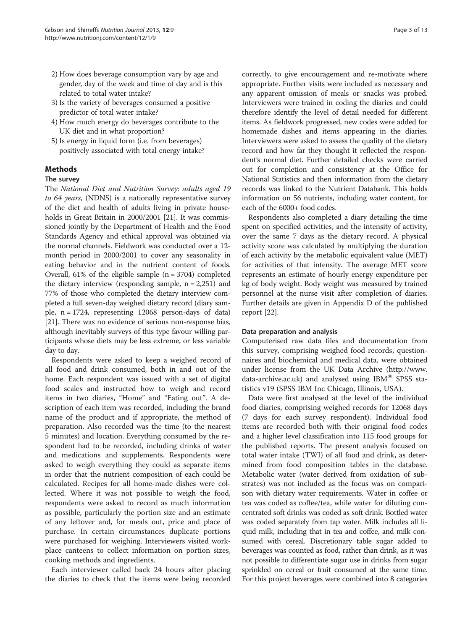- 2) How does beverage consumption vary by age and gender, day of the week and time of day and is this related to total water intake?
- 3) Is the variety of beverages consumed a positive predictor of total water intake?
- 4) How much energy do beverages contribute to the UK diet and in what proportion?
- 5) Is energy in liquid form (i.e. from beverages) positively associated with total energy intake?

# Methods

# The survey

The National Diet and Nutrition Survey: adults aged 19 to 64 years, (NDNS) is a nationally representative survey of the diet and health of adults living in private households in Great Britain in 2000/2001 [\[21\]](#page-12-0). It was commissioned jointly by the Department of Health and the Food Standards Agency and ethical approval was obtained via the normal channels. Fieldwork was conducted over a 12 month period in 2000/2001 to cover any seasonality in eating behavior and in the nutrient content of foods. Overall, 61% of the eligible sample  $(n = 3704)$  completed the dietary interview (responding sample,  $n = 2,251$ ) and 77% of those who completed the dietary interview completed a full seven-day weighed dietary record (diary sample, n = 1724, representing 12068 person-days of data) [[21](#page-12-0)]. There was no evidence of serious non-response bias, although inevitably surveys of this type favour willing participants whose diets may be less extreme, or less variable day to day.

Respondents were asked to keep a weighed record of all food and drink consumed, both in and out of the home. Each respondent was issued with a set of digital food scales and instructed how to weigh and record items in two diaries, "Home" and "Eating out". A description of each item was recorded, including the brand name of the product and if appropriate, the method of preparation. Also recorded was the time (to the nearest 5 minutes) and location. Everything consumed by the respondent had to be recorded, including drinks of water and medications and supplements. Respondents were asked to weigh everything they could as separate items in order that the nutrient composition of each could be calculated. Recipes for all home-made dishes were collected. Where it was not possible to weigh the food, respondents were asked to record as much information as possible, particularly the portion size and an estimate of any leftover and, for meals out, price and place of purchase. In certain circumstances duplicate portions were purchased for weighing. Interviewers visited workplace canteens to collect information on portion sizes, cooking methods and ingredients.

Each interviewer called back 24 hours after placing the diaries to check that the items were being recorded correctly, to give encouragement and re-motivate where appropriate. Further visits were included as necessary and any apparent omission of meals or snacks was probed. Interviewers were trained in coding the diaries and could therefore identify the level of detail needed for different items. As fieldwork progressed, new codes were added for homemade dishes and items appearing in the diaries. Interviewers were asked to assess the quality of the dietary record and how far they thought it reflected the respondent's normal diet. Further detailed checks were carried out for completion and consistency at the Office for National Statistics and then information from the dietary records was linked to the Nutrient Databank. This holds information on 56 nutrients, including water content, for each of the 6000+ food codes.

Respondents also completed a diary detailing the time spent on specified activities, and the intensity of activity, over the same 7 days as the dietary record. A physical activity score was calculated by multiplying the duration of each activity by the metabolic equivalent value (MET) for activities of that intensity. The average MET score represents an estimate of hourly energy expenditure per kg of body weight. Body weight was measured by trained personnel at the nurse visit after completion of diaries. Further details are given in Appendix D of the published report [\[22\]](#page-12-0).

## Data preparation and analysis

Computerised raw data files and documentation from this survey, comprising weighed food records, questionnaires and biochemical and medical data, were obtained under license from the UK Data Archive ([http://www.](http://www.data-archive.ac.uk) [data-archive.ac.uk](http://www.data-archive.ac.uk)) and analysed using  $IBM^®$  SPSS statistics v19 (SPSS IBM Inc Chicago, Illinois, USA).

Data were first analysed at the level of the individual food diaries, comprising weighed records for 12068 days (7 days for each survey respondent). Individual food items are recorded both with their original food codes and a higher level classification into 115 food groups for the published reports. The present analysis focused on total water intake (TWI) of all food and drink, as determined from food composition tables in the database. Metabolic water (water derived from oxidation of substrates) was not included as the focus was on comparison with dietary water requirements. Water in coffee or tea was coded as coffee/tea, while water for diluting concentrated soft drinks was coded as soft drink. Bottled water was coded separately from tap water. Milk includes all liquid milk, including that in tea and coffee, and milk consumed with cereal. Discretionary table sugar added to beverages was counted as food, rather than drink, as it was not possible to differentiate sugar use in drinks from sugar sprinkled on cereal or fruit consumed at the same time. For this project beverages were combined into 8 categories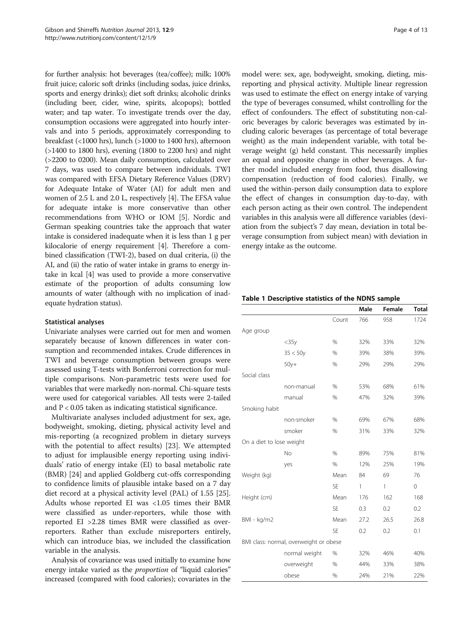<span id="page-3-0"></span>for further analysis: hot beverages (tea/coffee); milk; 100% fruit juice; caloric soft drinks (including sodas, juice drinks, sports and energy drinks); diet soft drinks; alcoholic drinks (including beer, cider, wine, spirits, alcopops); bottled water; and tap water. To investigate trends over the day, consumption occasions were aggregated into hourly intervals and into 5 periods, approximately corresponding to breakfast (<1000 hrs), lunch (>1000 to 1400 hrs), afternoon (>1400 to 1800 hrs), evening (1800 to 2200 hrs) and night (>2200 to 0200). Mean daily consumption, calculated over 7 days, was used to compare between individuals. TWI was compared with EFSA Dietary Reference Values (DRV) for Adequate Intake of Water (AI) for adult men and women of 2.5 L and 2.0 L, respectively [[4\]](#page-12-0). The EFSA value for adequate intake is more conservative than other recommendations from WHO or IOM [\[5](#page-12-0)]. Nordic and German speaking countries take the approach that water intake is considered inadequate when it is less than 1 g per kilocalorie of energy requirement [\[4](#page-12-0)]. Therefore a combined classification (TWI-2), based on dual criteria, (i) the AI, and (ii) the ratio of water intake in grams to energy intake in kcal [\[4\]](#page-12-0) was used to provide a more conservative estimate of the proportion of adults consuming low amounts of water (although with no implication of inadequate hydration status).

## Statistical analyses

Univariate analyses were carried out for men and women separately because of known differences in water consumption and recommended intakes. Crude differences in TWI and beverage consumption between groups were assessed using T-tests with Bonferroni correction for multiple comparisons. Non-parametric tests were used for variables that were markedly non-normal. Chi-square tests were used for categorical variables. All tests were 2-tailed and  $P < 0.05$  taken as indicating statistical significance.

Multivariate analyses included adjustment for sex, age, bodyweight, smoking, dieting, physical activity level and mis-reporting (a recognized problem in dietary surveys with the potential to affect results) [[23](#page-12-0)]. We attempted to adjust for implausible energy reporting using individuals' ratio of energy intake (EI) to basal metabolic rate (BMR) [\[24\]](#page-12-0) and applied Goldberg cut-offs corresponding to confidence limits of plausible intake based on a 7 day diet record at a physical activity level (PAL) of 1.55 [\[25](#page-12-0)]. Adults whose reported EI was <1.05 times their BMR were classified as under-reporters, while those with reported EI >2.28 times BMR were classified as overreporters. Rather than exclude misreporters entirely, which can introduce bias, we included the classification variable in the analysis.

Analysis of covariance was used initially to examine how energy intake varied as the *proportion* of "liquid calories" increased (compared with food calories); covariates in the

model were: sex, age, bodyweight, smoking, dieting, misreporting and physical activity. Multiple linear regression was used to estimate the effect on energy intake of varying the type of beverages consumed, whilst controlling for the effect of confounders. The effect of substituting non-caloric beverages by caloric beverages was estimated by including caloric beverages (as percentage of total beverage weight) as the main independent variable, with total beverage weight (g) held constant. This necessarily implies an equal and opposite change in other beverages. A further model included energy from food, thus disallowing compensation (reduction of food calories). Finally, we used the within-person daily consumption data to explore the effect of changes in consumption day-to-day, with each person acting as their own control. The independent variables in this analysis were all difference variables (deviation from the subject's 7 day mean, deviation in total beverage consumption from subject mean) with deviation in energy intake as the outcome.

# Table 1 Descriptive statistics of the NDNS sample

|                          |                                        |               | Male | Female | <b>Total</b> |
|--------------------------|----------------------------------------|---------------|------|--------|--------------|
|                          |                                        | Count         | 766  | 958    | 1724         |
| Age group                |                                        |               |      |        |              |
|                          | $<$ 35 $y$                             | %             | 32%  | 33%    | 32%          |
|                          | 35 < 50y                               | %             | 39%  | 38%    | 39%          |
|                          | $50y+$                                 | %             | 29%  | 29%    | 29%          |
| Social class             |                                        |               |      |        |              |
|                          | non-manual                             | %             | 53%  | 68%    | 61%          |
|                          | manual                                 | %             | 47%  | 32%    | 39%          |
| Smoking habit            |                                        |               |      |        |              |
|                          | non-smoker                             | $\%$          | 69%  | 67%    | 68%          |
|                          | smoker                                 | %             | 31%  | 33%    | 32%          |
| On a diet to lose weight |                                        |               |      |        |              |
|                          | <b>No</b>                              | $\%$          | 89%  | 75%    | 81%          |
|                          | yes                                    | $\frac{1}{2}$ | 12%  | 25%    | 19%          |
| Weight (kg)              |                                        | Mean          | 84   | 69     | 76           |
|                          |                                        | <b>SE</b>     | 1    | 1      | $\Omega$     |
| Height (cm)              |                                        | Mean          | 176  | 162    | 168          |
|                          |                                        | SF            | 0.3  | 0.2    | 0.2          |
| BMI - kg/m2              |                                        | Mean          | 27.2 | 26.5   | 26.8         |
|                          |                                        | <b>SE</b>     | 0.2  | 0.2    | 0.1          |
|                          | BMI class: normal, overweight or obese |               |      |        |              |
|                          | normal weight                          | %             | 32%  | 46%    | 40%          |
|                          | overweight                             | %             | 44%  | 33%    | 38%          |
|                          | obese                                  | $\%$          | 24%  | 21%    | 22%          |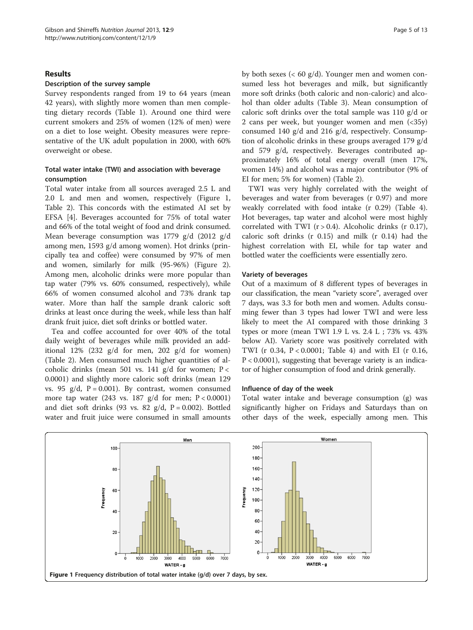# Results

## Description of the survey sample

Survey respondents ranged from 19 to 64 years (mean 42 years), with slightly more women than men completing dietary records (Table [1](#page-3-0)). Around one third were current smokers and 25% of women (12% of men) were on a diet to lose weight. Obesity measures were representative of the UK adult population in 2000, with 60% overweight or obese.

# Total water intake (TWI) and association with beverage consumption

Total water intake from all sources averaged 2.5 L and 2.0 L and men and women, respectively (Figure 1, Table [2\)](#page-5-0). This concords with the estimated AI set by EFSA [\[4](#page-12-0)]. Beverages accounted for 75% of total water and 66% of the total weight of food and drink consumed. Mean beverage consumption was 1779 g/d (2012 g/d among men, 1593 g/d among women). Hot drinks (principally tea and coffee) were consumed by 97% of men and women, similarly for milk (95-96%) (Figure [2](#page-5-0)). Among men, alcoholic drinks were more popular than tap water (79% vs. 60% consumed, respectively), while 66% of women consumed alcohol and 73% drank tap water. More than half the sample drank caloric soft drinks at least once during the week, while less than half drank fruit juice, diet soft drinks or bottled water.

Tea and coffee accounted for over 40% of the total daily weight of beverages while milk provided an additional 12% (232 g/d for men, 202 g/d for women) (Table [2\)](#page-5-0). Men consumed much higher quantities of alcoholic drinks (mean 501 vs. 141 g/d for women;  $P <$ 0.0001) and slightly more caloric soft drinks (mean 129 vs. 95  $g/d$ , P = 0.001). By contrast, women consumed more tap water (243 vs. 187 g/d for men;  $P < 0.0001$ ) and diet soft drinks (93 vs. 82  $g/d$ , P = 0.002). Bottled water and fruit juice were consumed in small amounts by both sexes ( $< 60$  g/d). Younger men and women consumed less hot beverages and milk, but significantly more soft drinks (both caloric and non-caloric) and alcohol than older adults (Table [3\)](#page-6-0). Mean consumption of caloric soft drinks over the total sample was 110 g/d or 2 cans per week, but younger women and men (<35y) consumed 140 g/d and 216 g/d, respectively. Consumption of alcoholic drinks in these groups averaged 179 g/d and 579 g/d, respectively. Beverages contributed approximately 16% of total energy overall (men 17%, women 14%) and alcohol was a major contributor (9% of EI for men; 5% for women) (Table [2\)](#page-5-0).

TWI was very highly correlated with the weight of beverages and water from beverages (r 0.97) and more weakly correlated with food intake (r 0.29) (Table [4](#page-7-0)). Hot beverages, tap water and alcohol were most highly correlated with TWI  $(r > 0.4)$ . Alcoholic drinks  $(r \ 0.17)$ , caloric soft drinks (r 0.15) and milk (r 0.14) had the highest correlation with EI, while for tap water and bottled water the coefficients were essentially zero.

# Variety of beverages

Out of a maximum of 8 different types of beverages in our classification, the mean "variety score", averaged over 7 days, was 3.3 for both men and women. Adults consuming fewer than 3 types had lower TWI and were less likely to meet the AI compared with those drinking 3 types or more (mean TWI 1.9 L vs. 2.4 L ; 73% vs. 43% below AI). Variety score was positively correlated with TWI (r 0.34, P < 0.0001; Table [4\)](#page-7-0) and with EI (r 0.16,  $P < 0.0001$ ), suggesting that beverage variety is an indicator of higher consumption of food and drink generally.

## Influence of day of the week

Total water intake and beverage consumption (g) was significantly higher on Fridays and Saturdays than on other days of the week, especially among men. This

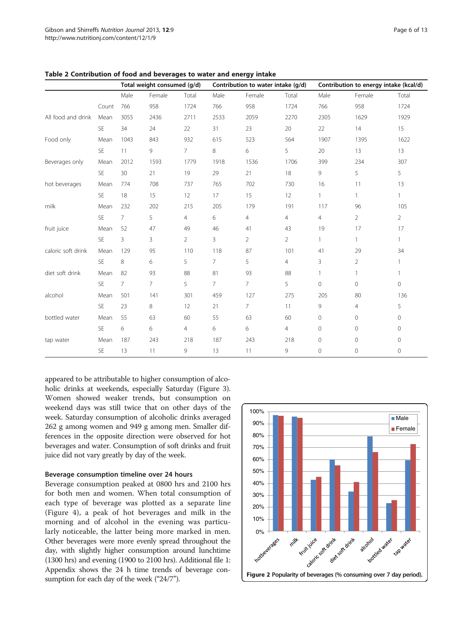|                    |           |                | Total weight consumed (g/d) |                | Contribution to water intake (g/d) |                |                | Contribution to energy intake (kcal/d) |                |                |
|--------------------|-----------|----------------|-----------------------------|----------------|------------------------------------|----------------|----------------|----------------------------------------|----------------|----------------|
|                    |           | Male           | Female                      | Total          | Male                               | Female         | Total          | Male                                   | Female         | Total          |
|                    | Count     | 766            | 958                         | 1724           | 766                                | 958            | 1724           | 766                                    | 958            | 1724           |
| All food and drink | Mean      | 3055           | 2436                        | 2711           | 2533                               | 2059           | 2270           | 2305                                   | 1629           | 1929           |
|                    | <b>SE</b> | 34             | 24                          | 22             | 31                                 | 23             | 20             | 22                                     | 14             | 15             |
| Food only          | Mean      | 1043           | 843                         | 932            | 615                                | 523            | 564            | 1907                                   | 1395           | 1622           |
|                    | <b>SE</b> | 11             | 9                           | $\overline{7}$ | 8                                  | 6              | 5              | 20                                     | 13             | 13             |
| Beverages only     | Mean      | 2012           | 1593                        | 1779           | 1918                               | 1536           | 1706           | 399                                    | 234            | 307            |
|                    | <b>SE</b> | 30             | 21                          | 19             | 29                                 | 21             | 18             | 9                                      | 5              | 5              |
| hot beverages      | Mean      | 774            | 708                         | 737            | 765                                | 702            | 730            | 16                                     | 11             | 13             |
|                    | <b>SE</b> | 18             | 15                          | 12             | 17                                 | 15             | 12             | 1                                      | $\mathbf{1}$   | $\mathbf{1}$   |
| milk               | Mean      | 232            | 202                         | 215            | 205                                | 179            | 191            | 117                                    | 96             | 105            |
|                    | <b>SE</b> | $\overline{7}$ | 5                           | 4              | 6                                  | 4              | $\overline{4}$ | 4                                      | $\overline{2}$ | $\overline{2}$ |
| fruit juice        | Mean      | 52             | 47                          | 49             | 46                                 | 41             | 43             | 19                                     | 17             | 17             |
|                    | <b>SE</b> | $\overline{3}$ | 3                           | $\overline{2}$ | 3                                  | $\overline{2}$ | $\overline{2}$ | $\mathbf{1}$                           | $\mathbf{1}$   | $\mathbf{1}$   |
| caloric soft drink | Mean      | 129            | 95                          | 110            | 118                                | 87             | 101            | 41                                     | 29             | 34             |
|                    | <b>SE</b> | 8              | 6                           | 5              | 7                                  | 5              | $\overline{4}$ | 3                                      | $\overline{2}$ | 1              |
| diet soft drink    | Mean      | 82             | 93                          | 88             | 81                                 | 93             | 88             | $\mathbf{1}$                           | $\mathbf{1}$   | $\mathbf{1}$   |
|                    | SE        | $\overline{7}$ | $\overline{7}$              | 5              | $\overline{7}$                     | 7              | 5              | $\circ$                                | $\Omega$       | $\circ$        |
| alcohol            | Mean      | 501            | 141                         | 301            | 459                                | 127            | 275            | 205                                    | 80             | 136            |
|                    | SE        | 23             | 8                           | 12             | 21                                 | 7              | 11             | 9                                      | $\overline{4}$ | 5              |
| bottled water      | Mean      | 55             | 63                          | 60             | 55                                 | 63             | 60             | $\mathbf 0$                            | $\circ$        | $\circ$        |
|                    | <b>SE</b> | 6              | 6                           | $\overline{4}$ | 6                                  | 6              | $\overline{4}$ | $\circ$                                | $\mathbf{0}$   | $\circ$        |
| tap water          | Mean      | 187            | 243                         | 218            | 187                                | 243            | 218            | $\circ$                                | $\mathbf{0}$   | $\circ$        |
|                    | <b>SE</b> | 13             | 11                          | 9              | 13                                 | 11             | 9              | $\mathbf 0$                            | $\mathbf{0}$   | $\circ$        |

<span id="page-5-0"></span>Table 2 Contribution of food and beverages to water and energy intake

appeared to be attributable to higher consumption of alcoholic drinks at weekends, especially Saturday (Figure [3](#page-7-0)). Women showed weaker trends, but consumption on weekend days was still twice that on other days of the week. Saturday consumption of alcoholic drinks averaged 262 g among women and 949 g among men. Smaller differences in the opposite direction were observed for hot beverages and water. Consumption of soft drinks and fruit juice did not vary greatly by day of the week.

# Beverage consumption timeline over 24 hours

Beverage consumption peaked at 0800 hrs and 2100 hrs for both men and women. When total consumption of each type of beverage was plotted as a separate line (Figure [4](#page-8-0)), a peak of hot beverages and milk in the morning and of alcohol in the evening was particularly noticeable, the latter being more marked in men. Other beverages were more evenly spread throughout the day, with slightly higher consumption around lunchtime (1300 hrs) and evening (1900 to 2100 hrs). Additional file [1](#page-11-0): Appendix shows the 24 h time trends of beverage consumption for each day of the week ("24/7").

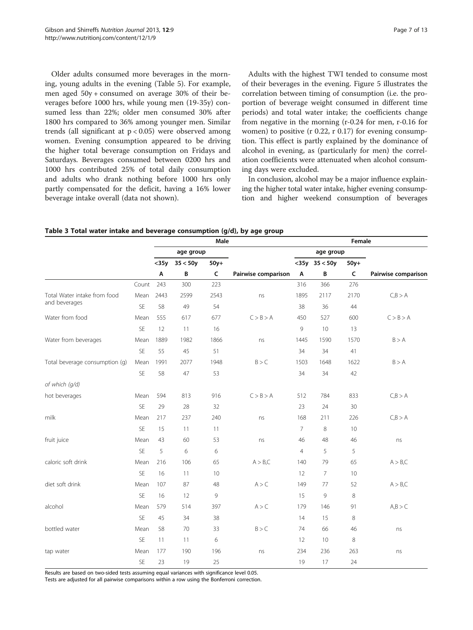<span id="page-6-0"></span>Older adults consumed more beverages in the morning, young adults in the evening (Table [5](#page-9-0)). For example, men aged 50y + consumed on average 30% of their beverages before 1000 hrs, while young men (19-35y) consumed less than 22%; older men consumed 30% after 1800 hrs compared to 36% among younger men. Similar trends (all significant at  $p < 0.05$ ) were observed among women. Evening consumption appeared to be driving the higher total beverage consumption on Fridays and Saturdays. Beverages consumed between 0200 hrs and 1000 hrs contributed 25% of total daily consumption and adults who drank nothing before 1000 hrs only partly compensated for the deficit, having a 16% lower beverage intake overall (data not shown).

Adults with the highest TWI tended to consume most of their beverages in the evening. Figure [5](#page-9-0) illustrates the correlation between timing of consumption (i.e. the proportion of beverage weight consumed in different time periods) and total water intake; the coefficients change from negative in the morning (r-0.24 for men, r-0.16 for women) to positive (r 0.22, r 0.17) for evening consumption. This effect is partly explained by the dominance of alcohol in evening, as (particularly for men) the correlation coefficients were attenuated when alcohol consuming days were excluded.

In conclusion, alcohol may be a major influence explaining the higher total water intake, higher evening consumption and higher weekend consumption of beverages

|  |  | Table 3 Total water intake and beverage consumption (g/d), by age group |  |  |  |
|--|--|-------------------------------------------------------------------------|--|--|--|
|--|--|-------------------------------------------------------------------------|--|--|--|

|                                |           | Male  |           |              | Female              |                |                    |        |                     |
|--------------------------------|-----------|-------|-----------|--------------|---------------------|----------------|--------------------|--------|---------------------|
|                                |           |       | age group |              |                     |                | age group          |        |                     |
|                                |           | $35y$ | 35 < 50y  | $50y+$       |                     |                | $<$ 35y 35 $<$ 50y | $50y+$ |                     |
|                                |           | Α     | B         | $\mathsf{C}$ | Pairwise comparison | Λ              | В                  | C      | Pairwise comparison |
|                                | Count     | 243   | 300       | 223          |                     | 316            | 366                | 276    |                     |
| Total Water intake from food   | Mean      | 2443  | 2599      | 2543         | ns                  | 1895           | 2117               | 2170   | C, B > A            |
| and beverages                  | SE        | 58    | 49        | 54           |                     | 38             | 36                 | 44     |                     |
| Water from food                | Mean      | 555   | 617       | 677          | C > B > A           | 450            | 527                | 600    | C > B > A           |
|                                | SE        | 12    | 11        | 16           |                     | 9              | 10                 | 13     |                     |
| Water from beverages           | Mean      | 1889  | 1982      | 1866         | ns                  | 1445           | 1590               | 1570   | B > A               |
|                                | SE        | 55    | 45        | 51           |                     | 34             | 34                 | 41     |                     |
| Total beverage consumption (g) | Mean      | 1991  | 2077      | 1948         | B > C               | 1503           | 1648               | 1622   | B > A               |
|                                | SE        | 58    | 47        | 53           |                     | 34             | 34                 | 42     |                     |
| of which (q/d)                 |           |       |           |              |                     |                |                    |        |                     |
| hot beverages                  | Mean      | 594   | 813       | 916          | C > B > A           | 512            | 784                | 833    | C, B > A            |
|                                | <b>SE</b> | 29    | 28        | 32           |                     | 23             | 24                 | 30     |                     |
| milk                           | Mean      | 217   | 237       | 240          | ns                  | 168            | 211                | 226    | C, B > A            |
|                                | <b>SE</b> | 15    | 11        | 11           |                     | $\overline{7}$ | 8                  | 10     |                     |
| fruit juice                    | Mean      | 43    | 60        | 53           | ns                  | 46             | 48                 | 46     | ns                  |
|                                | SE        | 5     | 6         | 6            |                     | 4              | 5                  | 5      |                     |
| caloric soft drink             | Mean      | 216   | 106       | 65           | A > B, C            | 140            | 79                 | 65     | $A > B$ ,C          |
|                                | <b>SE</b> | 16    | 11        | 10           |                     | 12             | $\overline{7}$     | 10     |                     |
| diet soft drink                | Mean      | 107   | 87        | 48           | A > C               | 149            | 77                 | 52     | $A > B$ ,C          |
|                                | SE        | 16    | 12        | 9            |                     | 15             | 9                  | 8      |                     |
| alcohol                        | Mean      | 579   | 514       | 397          | A > C               | 179            | 146                | 91     | A,B > C             |
|                                | SE        | 45    | 34        | 38           |                     | 14             | 15                 | 8      |                     |
| bottled water                  | Mean      | 58    | 70        | 33           | B > C               | 74             | 66                 | 46     | ns                  |
|                                | <b>SE</b> | 11    | 11        | 6            |                     | 12             | 10                 | 8      |                     |
| tap water                      | Mean      | 177   | 190       | 196          | ns                  | 234            | 236                | 263    | ns                  |
|                                | SE        | 23    | 19        | 25           |                     | 19             | 17                 | 24     |                     |

Results are based on two-sided tests assuming equal variances with significance level 0.05.

Tests are adjusted for all pairwise comparisons within a row using the Bonferroni correction.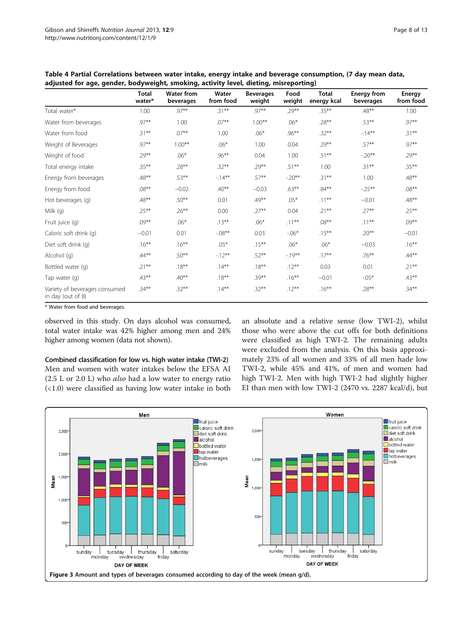|                                                    | <b>Total</b><br>water* | <b>Water from</b><br>beverages | Water<br>from food | <b>Beverages</b><br>weight | Food<br>weight | <b>Total</b><br>energy kcal | <b>Energy from</b><br>beverages | Energy<br>from food |
|----------------------------------------------------|------------------------|--------------------------------|--------------------|----------------------------|----------------|-----------------------------|---------------------------------|---------------------|
| Total water*                                       | 1.00                   | .97**                          | $.31***$           | $.97***$                   | $.29***$       | $.35***$                    | $.48***$                        | 1.00                |
| Water from beverages                               | .97**                  | 1.00                           | $.07***$           | $1.00***$                  | $.06*$         | $.28***$                    | $.53***$                        | $.97**$             |
| Water from food                                    | $.31***$               | $.07***$                       | 1.00               | $.06*$                     | $.96***$       | $.32***$                    | $-14**$                         | $.31***$            |
| Weight of Beverages                                | $.97**$                | $1.00***$                      | $.06*$             | 1.00                       | 0.04           | $.29***$                    | $.57***$                        | $.97***$            |
| Weight of food                                     | $.29***$               | $.06*$                         | $.96***$           | 0.04                       | 1.00           | $.51***$                    | $-.20**$                        | $.29***$            |
| Total energy intake                                | $.35***$               | $.28***$                       | $.32***$           | $.29***$                   | $.51***$       | 1.00                        | $.31***$                        | $.35***$            |
| Energy from beverages                              | $.48**$                | $.53***$                       | $-14***$           | $.57***$                   | $-.20**$       | $.31***$                    | 1.00                            | $.48***$            |
| Energy from food                                   | $.08***$               | $-0.02$                        | $.40**$            | $-0.03$                    | $.63***$       | $.84***$                    | $-25**$                         | $.08***$            |
| Hot beverages (g)                                  | $.48**$                | $.50***$                       | 0.01               | $.49***$                   | $.05*$         | $.11***$                    | $-0.01$                         | $.48**$             |
| Milk (g)                                           | $.25***$               | $.26***$                       | 0.00               | $.27***$                   | 0.04           | $.21***$                    | $.27***$                        | $.25***$            |
| Fruit juice (g)                                    | $.09***$               | $.06*$                         | $.13***$           | $.06*$                     | $.11***$       | $.08***$                    | $.11***$                        | $.09***$            |
| Caloric soft drink (q)                             | $-0.01$                | 0.01                           | $-08**$            | 0.03                       | $-06*$         | $.15***$                    | $.20**$                         | $-0.01$             |
| Diet soft drink (q)                                | $.16***$               | $.16***$                       | $.05*$             | $.15***$                   | $.06*$         | $.06*$                      | $-0.03$                         | $.16***$            |
| Alcohol (g)                                        | $.44***$               | $.50***$                       | $-12**$            | $.52***$                   | $-19**$        | $.17***$                    | $.76***$                        | $.44***$            |
| Bottled water (g)                                  | $.21***$               | $.18***$                       | $.14***$           | $.18***$                   | $.12***$       | 0.03                        | 0.01                            | $.21***$            |
| Tap water (g)                                      | $.43***$               | $40**$                         | $.18***$           | $.39***$                   | $.16***$       | $-0.01$                     | $-0.05*$                        | $.43***$            |
| Variety of beverages consumed<br>in day (out of 8) | $.34***$               | $.32***$                       | $.14***$           | $.32***$                   | $.12***$       | $.16***$                    | $.28***$                        | $.34***$            |

<span id="page-7-0"></span>Table 4 Partial Correlations between water intake, energy intake and beverage consumption, (7 day mean data, adjusted for age, gender, bodyweight, smoking, activity level, dieting, misreporting)

\* Water from food and beverages.

observed in this study. On days alcohol was consumed, total water intake was 42% higher among men and 24% higher among women (data not shown).

Combined classification for low vs. high water intake (TWI-2) Men and women with water intakes below the EFSA AI (2.5 L or 2.0 L) who also had a low water to energy ratio (<1.0) were classified as having low water intake in both

an absolute and a relative sense (low TWI-2), whilst those who were above the cut offs for both definitions were classified as high TWI-2. The remaining adults were excluded from the analysis. On this basis approximately 23% of all women and 33% of all men hade low TWI-2, while 45% and 41%, of men and women had high TWI-2. Men with high TWI-2 had slightly higher EI than men with low TWI-2 (2470 vs. 2287 kcal/d), but

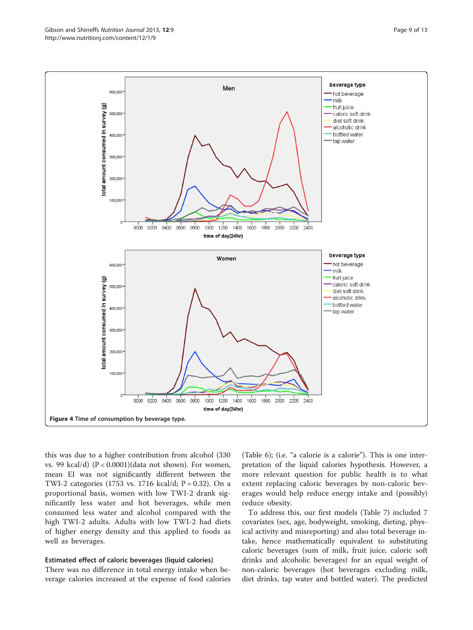this was due to a higher contribution from alcohol (330 vs. 99 kcal/d)  $(P < 0.0001)$ (data not shown). For women, mean EI was not significantly different between the TWI-2 categories (1753 vs. 1716 kcal/d; P = 0.32). On a proportional basis, women with low TWI-2 drank significantly less water and hot beverages, while men consumed less water and alcohol compared with the high TWI-2 adults. Adults with low TWI-2 had diets of higher energy density and this applied to foods as well as beverages.

#### Estimated effect of caloric beverages (liquid calories)

There was no difference in total energy intake when beverage calories increased at the expense of food calories

(Table [6\)](#page-10-0); (i.e. "a calorie is a calorie"). This is one interpretation of the liquid calories hypothesis. However, a more relevant question for public health is to what extent replacing caloric beverages by non-caloric beverages would help reduce energy intake and (possibly) reduce obesity.

To address this, our first models (Table [7\)](#page-10-0) included 7 covariates (sex, age, bodyweight, smoking, dieting, physical activity and misreporting) and also total beverage intake, hence mathematically equivalent to substituting caloric beverages (sum of milk, fruit juice, caloric soft drinks and alcoholic beverages) for an equal weight of non-caloric beverages (hot beverages excluding milk, diet drinks, tap water and bottled water). The predicted

<span id="page-8-0"></span>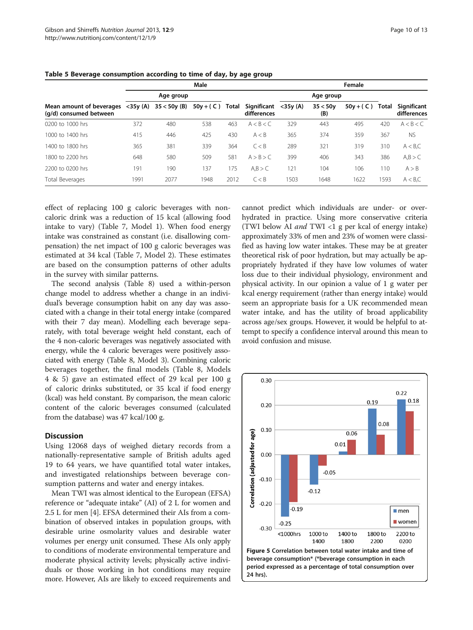|                                                    |             |                | Male        |       |                            |               |                 | Female      |       |                            |
|----------------------------------------------------|-------------|----------------|-------------|-------|----------------------------|---------------|-----------------|-------------|-------|----------------------------|
|                                                    |             | Age group      |             |       |                            |               | Age group       |             |       |                            |
| Mean amount of beverages<br>(g/d) consumed between | $<$ 35y (A) | $35 < 50y$ (B) | $50y + (C)$ | Total | Sianificant<br>differences | $<$ 35 $v(A)$ | 35 < 50v<br>(B) | $50y + (C)$ | Total | Significant<br>differences |
| 0200 to 1000 hrs                                   | 372         | 480            | 538         | 463   | A < B < C                  | 329           | 443             | 495         | 420   | A < B < C                  |
| 1000 to 1400 hrs                                   | 415         | 446            | 425         | 430   | A < B                      | 365           | 374             | 359         | 367   | <b>NS</b>                  |
| 1400 to 1800 hrs                                   | 365         | 381            | 339         | 364   | C < B                      | 289           | 321             | 319         | 310   | $A < B$ , $C$              |
| 1800 to 2200 hrs                                   | 648         | 580            | 509         | 581   | A > B > C                  | 399           | 406             | 343         | 386   | A,B > C                    |
| 2200 to 0200 hrs                                   | 191         | 190            | 137         | 175   | A,B > C                    | 121           | 104             | 106         | 110   | A > B                      |
| <b>Total Beverages</b>                             | 1991        | 2077           | 1948        | 2012  | C < B                      | 1503          | 1648            | 1622        | 1593  | $A < B$ , $C$              |

<span id="page-9-0"></span>Table 5 Beverage consumption according to time of day, by age group

effect of replacing 100 g caloric beverages with noncaloric drink was a reduction of 15 kcal (allowing food intake to vary) (Table [7,](#page-10-0) Model 1). When food energy intake was constrained as constant (i.e. disallowing compensation) the net impact of 100 g caloric beverages was estimated at 34 kcal (Table [7](#page-10-0), Model 2). These estimates are based on the consumption patterns of other adults in the survey with similar patterns.

The second analysis (Table [8\)](#page-10-0) used a within-person change model to address whether a change in an individual's beverage consumption habit on any day was associated with a change in their total energy intake (compared with their 7 day mean). Modelling each beverage separately, with total beverage weight held constant, each of the 4 non-caloric beverages was negatively associated with energy, while the 4 caloric beverages were positively associated with energy (Table [8,](#page-10-0) Model 3). Combining caloric beverages together, the final models (Table [8](#page-10-0), Models 4 & 5) gave an estimated effect of 29 kcal per 100 g of caloric drinks substituted, or 35 kcal if food energy (kcal) was held constant. By comparison, the mean caloric content of the caloric beverages consumed (calculated from the database) was 47 kcal/100 g.

# **Discussion**

Using 12068 days of weighed dietary records from a nationally-representative sample of British adults aged 19 to 64 years, we have quantified total water intakes, and investigated relationships between beverage consumption patterns and water and energy intakes.

Mean TWI was almost identical to the European (EFSA) reference or "adequate intake" (AI) of 2 L for women and 2.5 L for men [[4\]](#page-12-0). EFSA determined their AIs from a combination of observed intakes in population groups, with desirable urine osmolarity values and desirable water volumes per energy unit consumed. These AIs only apply to conditions of moderate environmental temperature and moderate physical activity levels; physically active individuals or those working in hot conditions may require more. However, AIs are likely to exceed requirements and

cannot predict which individuals are under- or overhydrated in practice. Using more conservative criteria (TWI below AI and TWI <1 g per kcal of energy intake) approximately 33% of men and 23% of women were classified as having low water intakes. These may be at greater theoretical risk of poor hydration, but may actually be appropriately hydrated if they have low volumes of water loss due to their individual physiology, environment and physical activity. In our opinion a value of 1 g water per kcal energy requirement (rather than energy intake) would seem an appropriate basis for a UK recommended mean water intake, and has the utility of broad applicability across age/sex groups. However, it would be helpful to attempt to specify a confidence interval around this mean to avoid confusion and misuse.

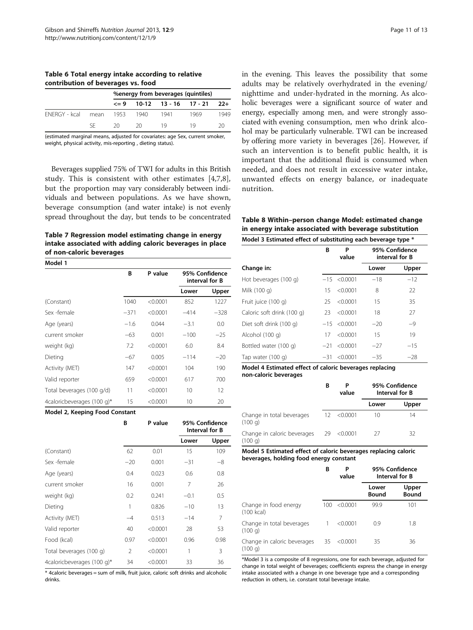### <span id="page-10-0"></span>Table 6 Total energy intake according to relative contribution of beverages vs. food

|                              |     | %energy from beverages (quintiles) |  |                                     |      |      |  |
|------------------------------|-----|------------------------------------|--|-------------------------------------|------|------|--|
|                              |     |                                    |  | $\leq$ 9 10-12 13 - 16 17 - 21 22 + |      |      |  |
| FNFRGY - kcal mean 1953 1940 |     |                                    |  | 1941                                | 1969 | 1949 |  |
|                              | SE. | 20 20                              |  | 19                                  | 19   | 20   |  |

(estimated marginal means, adjusted for covariates: age Sex, current smoker, weight, physical activity, mis-reporting , dieting status).

Beverages supplied 75% of TWI for adults in this British study. This is consistent with other estimates [[4,7,8](#page-12-0)], but the proportion may vary considerably between individuals and between populations. As we have shown, beverage consumption (and water intake) is not evenly spread throughout the day, but tends to be concentrated

Table 7 Regression model estimating change in energy intake associated with adding caloric beverages in place of non-caloric beverages

| Model 1                    |        |          |                                  |        |  |
|----------------------------|--------|----------|----------------------------------|--------|--|
|                            | B      | P value  | 95% Confidence<br>interval for B |        |  |
|                            |        |          | Lower                            | Upper  |  |
| (Constant)                 | 1040   | < 0.0001 | 852                              | 1227   |  |
| Sex-female                 | $-371$ | < 0.0001 | $-414$                           | $-328$ |  |
| Age (years)                | $-1.6$ | 0.044    | $-3.1$                           | 0.0    |  |
| current smoker             | $-63$  | 0.001    | $-100$                           | $-25$  |  |
| weight (kg)                | 7.2    | < 0.0001 | 6.0                              | 8.4    |  |
| Dieting                    | $-67$  | 0.005    | $-114$                           | $-20$  |  |
| Activity (MET)             | 147    | < 0.0001 | 104                              | 190    |  |
| Valid reporter             | 659    | < 0.0001 | 617                              | 700    |  |
| Total beverages (100 g/d)  | 11     | < 0.0001 | 10                               | 12     |  |
| 4caloricbeverages (100 g)* | 15     | < 0.0001 | 10                               | 20     |  |

Model 2, Keeping Food Constant

|                            | В              | P value  |        | 95% Confidence<br>Interval for B |
|----------------------------|----------------|----------|--------|----------------------------------|
|                            |                |          | Lower  | Upper                            |
| (Constant)                 | 62             | 0.01     | 15     | 109                              |
| Sex-female                 | $-20$          | 0.001    | $-31$  | $-8$                             |
| Age (years)                | 0.4            | 0.023    | 0.6    | 0.8                              |
| current smoker             | 16             | 0.001    | 7      | 26                               |
| weight (kg)                | 0.2            | 0.241    | $-0.1$ | 0.5                              |
| Dieting                    | 1              | 0.826    | $-10$  | 13                               |
| Activity (MET)             | $-4$           | 0.513    | $-14$  | 7                                |
| Valid reporter             | 40             | < 0.0001 | 28     | 53                               |
| Food (kcal)                | 0.97           | < 0.0001 | 0.96   | 0.98                             |
| Total beverages (100 g)    | $\mathfrak{D}$ | < 0.0001 | 1      | 3                                |
| 4caloricbeverages (100 g)* | 34             | < 0.0001 | 33     | 36                               |

\* 4caloric beverages = sum of milk, fruit juice, caloric soft drinks and alcoholic drinks.

in the evening. This leaves the possibility that some adults may be relatively overhydrated in the evening/ nighttime and under-hydrated in the morning. As alcoholic beverages were a significant source of water and energy, especially among men, and were strongly associated with evening consumption, men who drink alcohol may be particularly vulnerable. TWI can be increased by offering more variety in beverages [[26](#page-12-0)]. However, if such an intervention is to benefit public health, it is important that the additional fluid is consumed when needed, and does not result in excessive water intake, unwanted effects on energy balance, or inadequate nutrition.

Table 8 Within–person change Model: estimated change in energy intake associated with beverage substitution  $\overline{\phantom{a}}$ Model 2 Estimated effect of substituting each beverage type  $*$ 

| Model 5 Estimated effect of substituting each beverage type |       |                |       |                                  |  |  |  |  |
|-------------------------------------------------------------|-------|----------------|-------|----------------------------------|--|--|--|--|
|                                                             | В     | P<br>value     |       | 95% Confidence<br>interval for B |  |  |  |  |
| Change in:                                                  |       |                | Lower | Upper                            |  |  |  |  |
| Hot beverages (100 g)                                       |       | $-15 < 0.0001$ | $-18$ | $-12$                            |  |  |  |  |
| Milk (100 g)                                                | 15    | < 0.0001       | 8     | 22                               |  |  |  |  |
| Fruit juice (100 g)                                         | 25.   | < 0.0001       | 15    | 35                               |  |  |  |  |
| Caloric soft drink (100 g)                                  | 23    | < 0.0001       | 18    | 27                               |  |  |  |  |
| Diet soft drink (100 g)                                     |       | $-15 < 0.0001$ | $-20$ | $-9$                             |  |  |  |  |
| Alcohol (100 g)                                             | 17    | < 0.0001       | 15    | 19                               |  |  |  |  |
| Bottled water (100 g)                                       | $-21$ | < 0.0001       | $-27$ | $-15$                            |  |  |  |  |
| Tap water (100 g)                                           | $-31$ | < 0.0001       | $-35$ | $-28$                            |  |  |  |  |

#### Model 4 Estimated effect of caloric beverages replacing non-caloric beverages

|                                       | В  | value           |       | 95% Confidence<br>Interval for B |
|---------------------------------------|----|-----------------|-------|----------------------------------|
|                                       |    |                 | Lower | Upper                            |
| Change in total beverages<br>(100q)   |    | $12 \le 0.0001$ | 10    | 14                               |
| Change in caloric beverages<br>(100q) | 29 | < 0.0001        | 27    | 32                               |

Model 5 Estimated effect of caloric beverages replacing caloric beverages, holding food energy constant

|                                       | В   | P<br>value |                | 95% Confidence<br>Interval for B |
|---------------------------------------|-----|------------|----------------|----------------------------------|
|                                       |     |            | Lower<br>Bound | Upper<br><b>Bound</b>            |
| Change in food energy<br>(100 kcal)   | 100 | < 0.0001   | 99.9           | 101                              |
| Change in total beverages<br>(100q)   |     | < 0.0001   | 0.9            | 1.8                              |
| Change in caloric beverages<br>(100q) | 35  | < 0.0001   | 35             | 36                               |

\*Model 3 is a composite of 8 regressions, one for each beverage, adjusted for change in total weight of beverages; coefficients express the change in energy intake associated with a change in one beverage type and a corresponding reduction in others, i.e. constant total beverage intake.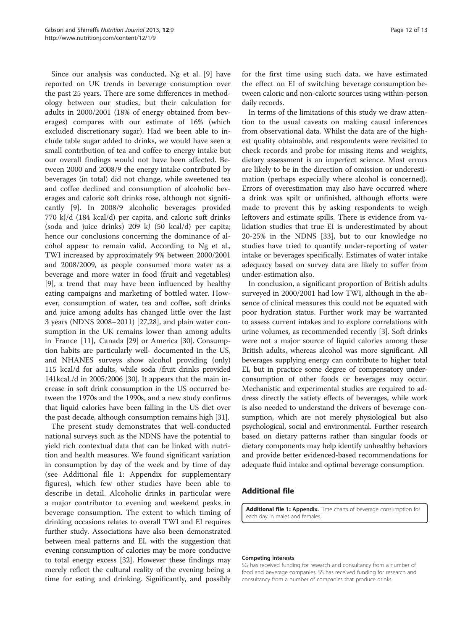<span id="page-11-0"></span>Since our analysis was conducted, Ng et al. [\[9](#page-12-0)] have reported on UK trends in beverage consumption over the past 25 years. There are some differences in methodology between our studies, but their calculation for adults in 2000/2001 (18% of energy obtained from beverages) compares with our estimate of 16% (which excluded discretionary sugar). Had we been able to include table sugar added to drinks, we would have seen a small contribution of tea and coffee to energy intake but our overall findings would not have been affected. Between 2000 and 2008/9 the energy intake contributed by beverages (in total) did not change, while sweetened tea and coffee declined and consumption of alcoholic beverages and caloric soft drinks rose, although not significantly [\[9](#page-12-0)]. In 2008/9 alcoholic beverages provided 770 kJ/d (184 kcal/d) per capita, and caloric soft drinks (soda and juice drinks) 209 kJ (50 kcal/d) per capita; hence our conclusions concerning the dominance of alcohol appear to remain valid. According to Ng et al., TWI increased by approximately 9% between 2000/2001 and 2008/2009, as people consumed more water as a beverage and more water in food (fruit and vegetables) [[9\]](#page-12-0), a trend that may have been influenced by healthy eating campaigns and marketing of bottled water. However, consumption of water, tea and coffee, soft drinks and juice among adults has changed little over the last 3 years (NDNS 2008–2011) [[27,28\]](#page-12-0), and plain water consumption in the UK remains lower than among adults in France [[11\]](#page-12-0), Canada [\[29\]](#page-12-0) or America [\[30\]](#page-12-0). Consumption habits are particularly well- documented in the US, and NHANES surveys show alcohol providing (only) 115 kcal/d for adults, while soda /fruit drinks provided 141kcaL/d in 2005/2006 [[30](#page-12-0)]. It appears that the main increase in soft drink consumption in the US occurred between the 1970s and the 1990s, and a new study confirms that liquid calories have been falling in the US diet over the past decade, although consumption remains high [\[31\]](#page-12-0).

The present study demonstrates that well-conducted national surveys such as the NDNS have the potential to yield rich contextual data that can be linked with nutrition and health measures. We found significant variation in consumption by day of the week and by time of day (see Additional file 1: Appendix for supplementary figures), which few other studies have been able to describe in detail. Alcoholic drinks in particular were a major contributor to evening and weekend peaks in beverage consumption. The extent to which timing of drinking occasions relates to overall TWI and EI requires further study. Associations have also been demonstrated between meal patterns and EI, with the suggestion that evening consumption of calories may be more conducive to total energy excess [[32\]](#page-12-0). However these findings may merely reflect the cultural reality of the evening being a time for eating and drinking. Significantly, and possibly for the first time using such data, we have estimated the effect on EI of switching beverage consumption between caloric and non-caloric sources using within-person daily records.

In terms of the limitations of this study we draw attention to the usual caveats on making causal inferences from observational data. Whilst the data are of the highest quality obtainable, and respondents were revisited to check records and probe for missing items and weights, dietary assessment is an imperfect science. Most errors are likely to be in the direction of omission or underestimation (perhaps especially where alcohol is concerned). Errors of overestimation may also have occurred where a drink was spilt or unfinished, although efforts were made to prevent this by asking respondents to weigh leftovers and estimate spills. There is evidence from validation studies that true EI is underestimated by about 20-25% in the NDNS [\[33\]](#page-12-0), but to our knowledge no studies have tried to quantify under-reporting of water intake or beverages specifically. Estimates of water intake adequacy based on survey data are likely to suffer from under-estimation also.

In conclusion, a significant proportion of British adults surveyed in 2000/2001 had low TWI, although in the absence of clinical measures this could not be equated with poor hydration status. Further work may be warranted to assess current intakes and to explore correlations with urine volumes, as recommended recently [\[3](#page-12-0)]. Soft drinks were not a major source of liquid calories among these British adults, whereas alcohol was more significant. All beverages supplying energy can contribute to higher total EI, but in practice some degree of compensatory underconsumption of other foods or beverages may occur. Mechanistic and experimental studies are required to address directly the satiety effects of beverages, while work is also needed to understand the drivers of beverage consumption, which are not merely physiological but also psychological, social and environmental. Further research based on dietary patterns rather than singular foods or dietary components may help identify unhealthy behaviors and provide better evidenced-based recommendations for adequate fluid intake and optimal beverage consumption.

# Additional file

[Additional file 1:](http://www.biomedcentral.com/content/supplementary/1475-2891-12-9-S1.doc) Appendix. Time charts of beverage consumption for each day in males and females.

#### Competing interests

SG has received funding for research and consultancy from a number of food and beverage companies. SS has received funding for research and consultancy from a number of companies that produce drinks.